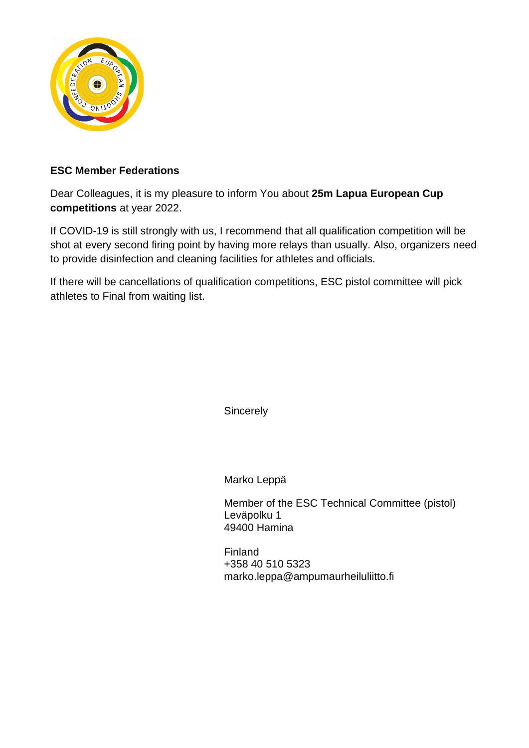

### **ESC Member Federations**

Dear Colleagues, it is my pleasure to inform You about **25m Lapua European Cup competitions** at year 2022.

If COVID-19 is still strongly with us, I recommend that all qualification competition will be shot at every second firing point by having more relays than usually. Also, organizers need to provide disinfection and cleaning facilities for athletes and officials.

If there will be cancellations of qualification competitions, ESC pistol committee will pick athletes to Final from waiting list.

**Sincerely** 

Marko Leppä

Member of the ESC Technical Committee (pistol) Leväpolku 1 49400 Hamina

Finland +358 40 510 5323 marko.leppa@ampumaurheiluliitto.fi